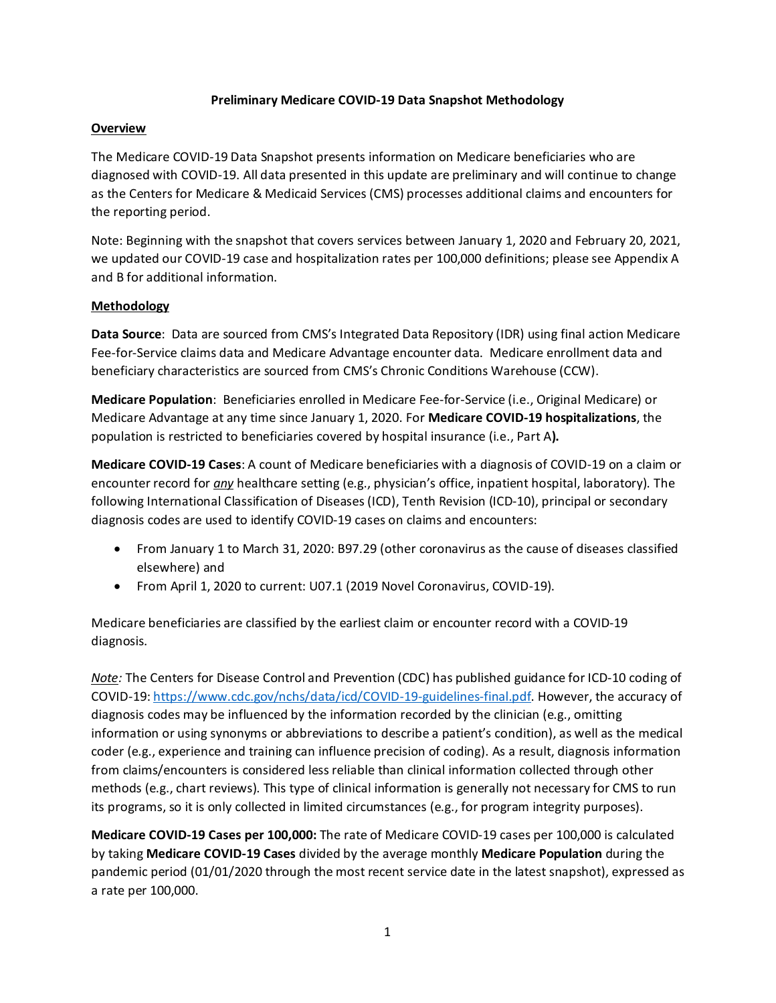# **Preliminary Medicare COVID-19 Data Snapshot Methodology**

# **Overview**

The Medicare COVID-19 Data Snapshot presents information on Medicare beneficiaries who are diagnosed with COVID-19. All data presented in this update are preliminary and will continue to change as the Centers for Medicare & Medicaid Services (CMS) processes additional claims and encounters for the reporting period.

Note: Beginning with the snapshot that covers services between January 1, 2020 and February 20, 2021, we updated our COVID-19 case and hospitalization rates per 100,000 definitions; please see Appendix A and B for additional information.

# **Methodology**

**Data Source**: Data are sourced from CMS's Integrated Data Repository (IDR) using final action Medicare Fee-for-Service claims data and Medicare Advantage encounter data. Medicare enrollment data and beneficiary characteristics are sourced from CMS's Chronic Conditions Warehouse (CCW).

**Medicare Population**: Beneficiaries enrolled in Medicare Fee-for-Service (i.e., Original Medicare) or Medicare Advantage at any time since January 1, 2020. For **Medicare COVID-19 hospitalizations**, the population is restricted to beneficiaries covered by hospital insurance (i.e., Part A**).**

**Medicare COVID-19 Cases**: A count of Medicare beneficiaries with a diagnosis of COVID-19 on a claim or encounter record for *any* healthcare setting (e.g., physician's office, inpatient hospital, laboratory). The following International Classification of Diseases (ICD), Tenth Revision (ICD-10), principal or secondary diagnosis codes are used to identify COVID-19 cases on claims and encounters:

- From January 1 to March 31, 2020: B97.29 (other coronavirus as the cause of diseases classified elsewhere) and
- From April 1, 2020 to current: U07.1 (2019 Novel Coronavirus, COVID-19).

Medicare beneficiaries are classified by the earliest claim or encounter record with a COVID-19 diagnosis.

*Note:* The Centers for Disease Control and Prevention (CDC) has published guidance for ICD-10 coding of COVID-19: [https://www.cdc.gov/nchs/data/icd/COVID-19-guidelines-final.pdf.](https://www.cdc.gov/nchs/data/icd/COVID-19-guidelines-final.pdf) However, the accuracy of diagnosis codes may be influenced by the information recorded by the clinician (e.g., omitting information or using synonyms or abbreviations to describe a patient's condition), as well as the medical coder (e.g., experience and training can influence precision of coding). As a result, diagnosis information from claims/encounters is considered less reliable than clinical information collected through other methods (e.g., chart reviews). This type of clinical information is generally not necessary for CMS to run its programs, so it is only collected in limited circumstances (e.g., for program integrity purposes).

**Medicare COVID-19 Cases per 100,000:** The rate of Medicare COVID-19 cases per 100,000 is calculated by taking **Medicare COVID-19 Cases** divided by the average monthly **Medicare Population** during the pandemic period (01/01/2020 through the most recent service date in the latest snapshot), expressed as a rate per 100,000.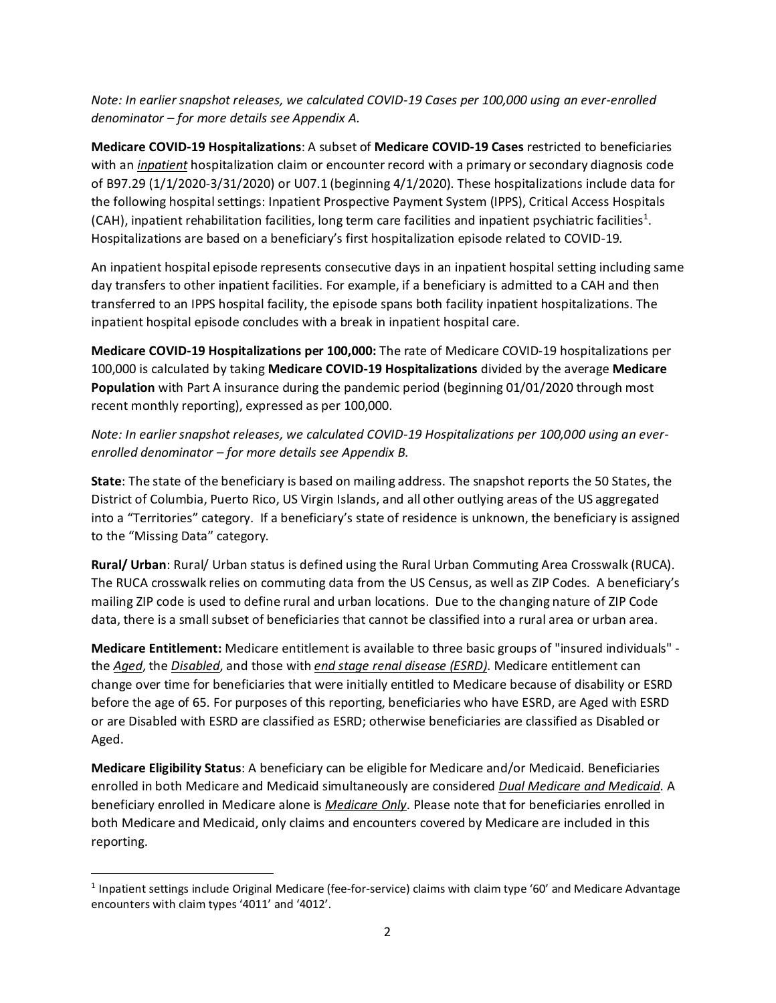*Note: In earlier snapshot releases, we calculated COVID-19 Cases per 100,000 using an ever-enrolled denominator – for more details see Appendix A.* 

**Medicare COVID-19 Hospitalizations**: A subset of **Medicare COVID-19 Cases** restricted to beneficiaries with an *inpatient* hospitalization claim or encounter record with a primary or secondary diagnosis code of B97.29 (1/1/2020-3/31/2020) or U07.1 (beginning 4/1/2020). These hospitalizations include data for the following hospital settings: Inpatient Prospective Payment System (IPPS), Critical Access Hospitals (CAH), inpatient rehabilitation facilities, long term care facilities and inpatient psychiatric facilities<sup>[1](#page-1-0)</sup>. Hospitalizations are based on a beneficiary's first hospitalization episode related to COVID-19.

An inpatient hospital episode represents consecutive days in an inpatient hospital setting including same day transfers to other inpatient facilities. For example, if a beneficiary is admitted to a CAH and then transferred to an IPPS hospital facility, the episode spans both facility inpatient hospitalizations. The inpatient hospital episode concludes with a break in inpatient hospital care.

**Medicare COVID-19 Hospitalizations per 100,000:** The rate of Medicare COVID-19 hospitalizations per 100,000 is calculated by taking **Medicare COVID-19 Hospitalizations** divided by the average **Medicare Population** with Part A insurance during the pandemic period (beginning 01/01/2020 through most recent monthly reporting), expressed as per 100,000.

*Note: In earlier snapshot releases, we calculated COVID-19 Hospitalizations per 100,000 using an everenrolled denominator – for more details see Appendix B.*

**State**: The state of the beneficiary is based on mailing address. The snapshot reports the 50 States, the District of Columbia, Puerto Rico, US Virgin Islands, and all other outlying areas of the US aggregated into a "Territories" category. If a beneficiary's state of residence is unknown, the beneficiary is assigned to the "Missing Data" category.

**Rural/ Urban**: Rural/ Urban status is defined using the Rural Urban Commuting Area Crosswalk (RUCA). The RUCA crosswalk relies on commuting data from the US Census, as well as ZIP Codes. A beneficiary's mailing ZIP code is used to define rural and urban locations. Due to the changing nature of ZIP Code data, there is a small subset of beneficiaries that cannot be classified into a rural area or urban area.

**Medicare Entitlement:** Medicare entitlement is available to three basic groups of "insured individuals" the *Aged*, the *Disabled*, and those with *end stage renal disease (ESRD)*. Medicare entitlement can change over time for beneficiaries that were initially entitled to Medicare because of disability or ESRD before the age of 65. For purposes of this reporting, beneficiaries who have ESRD, are Aged with ESRD or are Disabled with ESRD are classified as ESRD; otherwise beneficiaries are classified as Disabled or Aged.

**Medicare Eligibility Status**: A beneficiary can be eligible for Medicare and/or Medicaid. Beneficiaries enrolled in both Medicare and Medicaid simultaneously are considered *Dual Medicare and Medicaid*. A beneficiary enrolled in Medicare alone is *Medicare Only*. Please note that for beneficiaries enrolled in both Medicare and Medicaid, only claims and encounters covered by Medicare are included in this reporting.

<span id="page-1-0"></span> $1$  Inpatient settings include Original Medicare (fee-for-service) claims with claim type '60' and Medicare Advantage encounters with claim types '4011' and '4012'.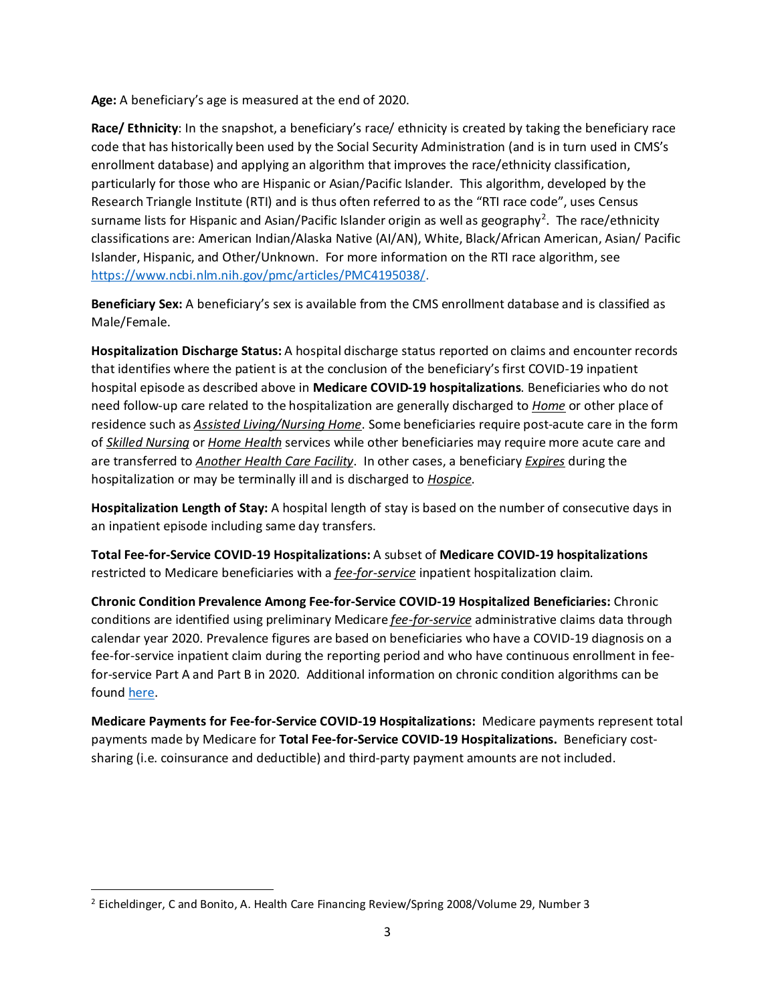**Age:** A beneficiary's age is measured at the end of 2020.

**Race/ Ethnicity**: In the snapshot, a beneficiary's race/ ethnicity is created by taking the beneficiary race code that has historically been used by the Social Security Administration (and is in turn used in CMS's enrollment database) and applying an algorithm that improves the race/ethnicity classification, particularly for those who are Hispanic or Asian/Pacific Islander. This algorithm, developed by the Research Triangle Institute (RTI) and is thus often referred to as the "RTI race code", uses Census surname lists for Hispanic and Asian/Pacific Islander origin as well as geography<sup>[2](#page-2-0)</sup>. The race/ethnicity classifications are: American Indian/Alaska Native (AI/AN), White, Black/African American, Asian/ Pacific Islander, Hispanic, and Other/Unknown. For more information on the RTI race algorithm, see [https://www.ncbi.nlm.nih.gov/pmc/articles/PMC4195038/.](https://www.ncbi.nlm.nih.gov/pmc/articles/PMC4195038/)

**Beneficiary Sex:** A beneficiary's sex is available from the CMS enrollment database and is classified as Male/Female.

**Hospitalization Discharge Status:** A hospital discharge status reported on claims and encounter records that identifies where the patient is at the conclusion of the beneficiary's first COVID-19 inpatient hospital episode as described above in **Medicare COVID-19 hospitalizations**. Beneficiaries who do not need follow-up care related to the hospitalization are generally discharged to *Home* or other place of residence such as *Assisted Living/Nursing Home*. Some beneficiaries require post-acute care in the form of *Skilled Nursing* or *Home Health* services while other beneficiaries may require more acute care and are transferred to *Another Health Care Facility*. In other cases, a beneficiary *Expires* during the hospitalization or may be terminally ill and is discharged to *Hospice*.

**Hospitalization Length of Stay:** A hospital length of stay is based on the number of consecutive days in an inpatient episode including same day transfers.

**Total Fee-for-Service COVID-19 Hospitalizations:** A subset of **Medicare COVID-19 hospitalizations**  restricted to Medicare beneficiaries with a *fee-for-service* inpatient hospitalization claim.

**Chronic Condition Prevalence Among Fee-for-Service COVID-19 Hospitalized Beneficiaries:** Chronic conditions are identified using preliminary Medicare *fee-for-service* administrative claims data through calendar year 2020. Prevalence figures are based on beneficiaries who have a COVID-19 diagnosis on a fee-for-service inpatient claim during the reporting period and who have continuous enrollment in feefor-service Part A and Part B in 2020. Additional information on chronic condition algorithms can be found [here.](https://www2.ccwdata.org/web/guest/condition-categories)

**Medicare Payments for Fee-for-Service COVID-19 Hospitalizations:** Medicare payments represent total payments made by Medicare for **Total Fee-for-Service COVID-19 Hospitalizations.** Beneficiary costsharing (i.e. coinsurance and deductible) and third-party payment amounts are not included.

<span id="page-2-0"></span><sup>&</sup>lt;sup>2</sup> Eicheldinger, C and Bonito, A. Health Care Financing Review/Spring 2008/Volume 29, Number 3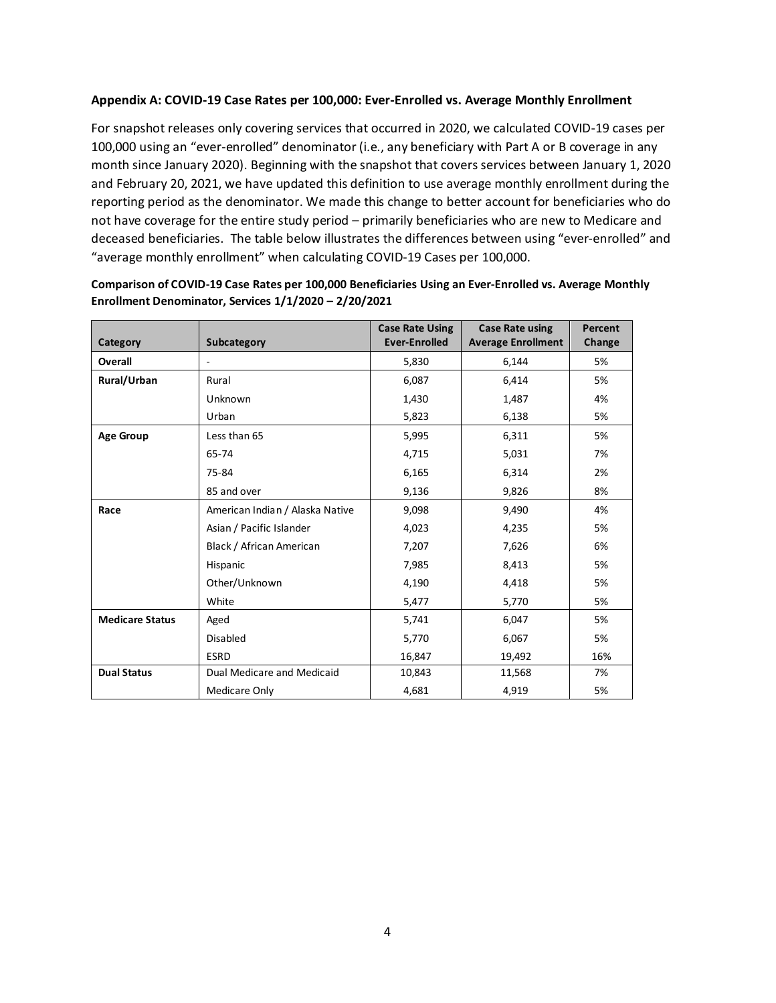## **Appendix A: COVID-19 Case Rates per 100,000: Ever-Enrolled vs. Average Monthly Enrollment**

For snapshot releases only covering services that occurred in 2020, we calculated COVID-19 cases per 100,000 using an "ever-enrolled" denominator (i.e., any beneficiary with Part A or B coverage in any month since January 2020). Beginning with the snapshot that covers services between January 1, 2020 and February 20, 2021, we have updated this definition to use average monthly enrollment during the reporting period as the denominator. We made this change to better account for beneficiaries who do not have coverage for the entire study period – primarily beneficiaries who are new to Medicare and deceased beneficiaries. The table below illustrates the differences between using "ever-enrolled" and "average monthly enrollment" when calculating COVID-19 Cases per 100,000.

| Category               | Subcategory                     | <b>Case Rate Using</b><br><b>Ever-Enrolled</b> | <b>Case Rate using</b><br><b>Average Enrollment</b> | Percent<br>Change |
|------------------------|---------------------------------|------------------------------------------------|-----------------------------------------------------|-------------------|
| Overall                | $\overline{\phantom{a}}$        | 5,830                                          | 6,144                                               | 5%                |
| Rural/Urban            | Rural                           | 6,087                                          | 6,414                                               | 5%                |
|                        | Unknown                         | 1,430                                          | 1,487                                               | 4%                |
|                        | Urban                           | 5,823                                          | 6,138                                               | 5%                |
| <b>Age Group</b>       | Less than 65                    | 5,995                                          | 6,311                                               | 5%                |
|                        | 65-74                           | 4,715                                          | 5,031                                               | 7%                |
|                        | 75-84                           | 6,165                                          | 6,314                                               | 2%                |
|                        | 85 and over                     | 9,136                                          | 9,826                                               | 8%                |
| Race                   | American Indian / Alaska Native | 9,098                                          | 9,490                                               | 4%                |
|                        | Asian / Pacific Islander        | 4,023                                          | 4,235                                               | 5%                |
|                        | Black / African American        | 7,207                                          | 7,626                                               | 6%                |
|                        | Hispanic                        | 7,985                                          | 8,413                                               | 5%                |
|                        | Other/Unknown                   | 4,190                                          | 4,418                                               | 5%                |
|                        | White                           | 5,477                                          | 5,770                                               | 5%                |
| <b>Medicare Status</b> | Aged                            | 5,741                                          | 6,047                                               | 5%                |
|                        | <b>Disabled</b>                 | 5,770                                          | 6,067                                               | 5%                |
|                        | <b>ESRD</b>                     | 16,847                                         | 19,492                                              | 16%               |
| <b>Dual Status</b>     | Dual Medicare and Medicaid      | 10,843                                         | 11,568                                              | 7%                |
|                        | Medicare Only                   | 4,681                                          | 4,919                                               | 5%                |

#### **Comparison of COVID-19 Case Rates per 100,000 Beneficiaries Using an Ever-Enrolled vs. Average Monthly Enrollment Denominator, Services 1/1/2020 – 2/20/2021**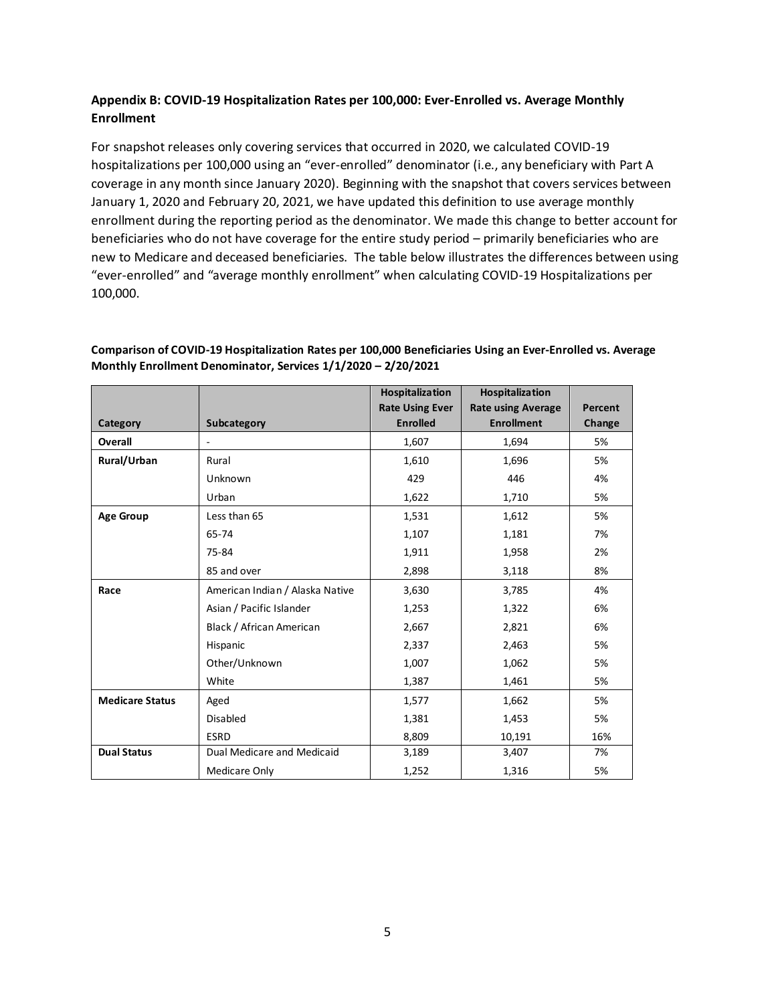# **Appendix B: COVID-19 Hospitalization Rates per 100,000: Ever-Enrolled vs. Average Monthly Enrollment**

For snapshot releases only covering services that occurred in 2020, we calculated COVID-19 hospitalizations per 100,000 using an "ever-enrolled" denominator (i.e., any beneficiary with Part A coverage in any month since January 2020). Beginning with the snapshot that covers services between January 1, 2020 and February 20, 2021, we have updated this definition to use average monthly enrollment during the reporting period as the denominator. We made this change to better account for beneficiaries who do not have coverage for the entire study period – primarily beneficiaries who are new to Medicare and deceased beneficiaries. The table below illustrates the differences between using "ever-enrolled" and "average monthly enrollment" when calculating COVID-19 Hospitalizations per 100,000.

## **Comparison of COVID-19 Hospitalization Rates per 100,000 Beneficiaries Using an Ever-Enrolled vs. Average Monthly Enrollment Denominator, Services 1/1/2020 – 2/20/2021**

|                        |                                 | Hospitalization        | Hospitalization           |         |
|------------------------|---------------------------------|------------------------|---------------------------|---------|
|                        |                                 | <b>Rate Using Ever</b> | <b>Rate using Average</b> | Percent |
| Category               | Subcategory                     | <b>Enrolled</b>        | <b>Enrollment</b>         | Change  |
| Overall                | $\frac{1}{2}$                   | 1,607                  | 1,694                     | 5%      |
| Rural/Urban            | Rural                           | 1,610                  | 1,696                     | 5%      |
|                        | Unknown                         | 429                    | 446                       | 4%      |
|                        | Urban                           | 1,622                  | 1,710                     | 5%      |
| <b>Age Group</b>       | Less than 65                    | 1,531                  | 1,612                     | 5%      |
|                        | 65-74                           | 1,107                  | 1,181                     | 7%      |
|                        | 75-84                           | 1,911                  | 1,958                     | 2%      |
|                        | 85 and over                     | 2,898                  | 3,118                     | 8%      |
| Race                   | American Indian / Alaska Native | 3,630                  | 3,785                     | 4%      |
|                        | Asian / Pacific Islander        | 1,253                  | 1,322                     | 6%      |
|                        | Black / African American        | 2,667                  | 2,821                     | 6%      |
|                        | Hispanic                        | 2,337                  | 2,463                     | 5%      |
|                        | Other/Unknown                   | 1,007                  | 1,062                     | 5%      |
|                        | White                           | 1,387                  | 1,461                     | 5%      |
| <b>Medicare Status</b> | Aged                            | 1,577                  | 1,662                     | 5%      |
|                        | <b>Disabled</b>                 | 1,381                  | 1,453                     | 5%      |
|                        | <b>ESRD</b>                     | 8,809                  | 10,191                    | 16%     |
| <b>Dual Status</b>     | Dual Medicare and Medicaid      | 3,189                  | 3,407                     | 7%      |
|                        | Medicare Only                   | 1,252                  | 1,316                     | 5%      |